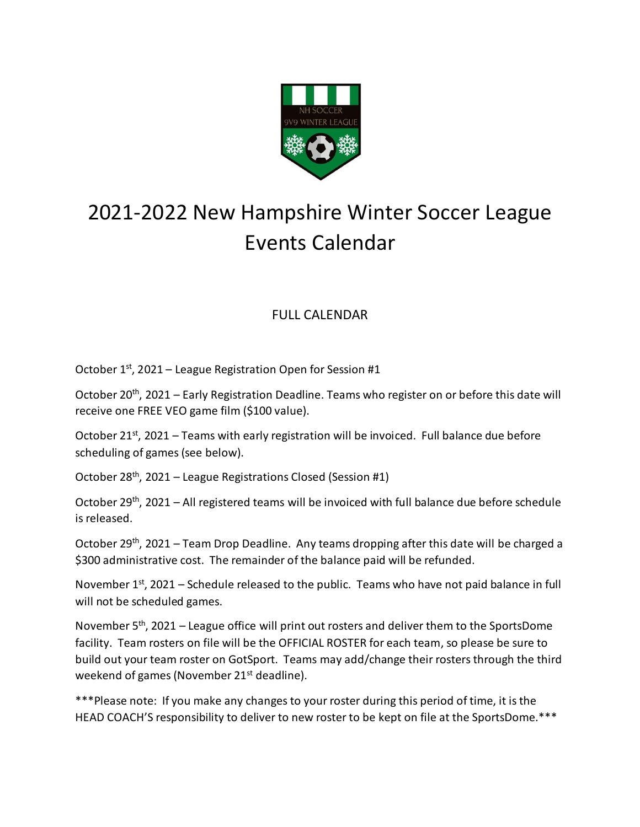

## 2021-2022 New Hampshire Winter Soccer League Events Calendar

## FULL CALENDAR

October 1<sup>st</sup>, 2021 - League Registration Open for Session #1

October 20<sup>th</sup>, 2021 – Early Registration Deadline. Teams who register on or before this date will receive one FREE VEO game film (\$100 value).

October 21<sup>st</sup>, 2021 – Teams with early registration will be invoiced. Full balance due before scheduling of games (see below).

October 28<sup>th</sup>, 2021 – League Registrations Closed (Session #1)

October 29<sup>th</sup>, 2021 – All registered teams will be invoiced with full balance due before schedule is released.

October 29<sup>th</sup>, 2021 – Team Drop Deadline. Any teams dropping after this date will be charged a \$300 administrative cost. The remainder of the balance paid will be refunded.

November  $1<sup>st</sup>$ , 2021 – Schedule released to the public. Teams who have not paid balance in full will not be scheduled games.

November 5<sup>th</sup>, 2021 – League office will print out rosters and deliver them to the SportsDome facility. Team rosters on file will be the OFFICIAL ROSTER for each team, so please be sure to build out your team roster on GotSport. Teams may add/change their rosters through the third weekend of games (November  $21^{st}$  deadline).

\*\*\*Please note: If you make any changes to your roster during this period of time, it is the HEAD COACH'S responsibility to deliver to new roster to be kept on file at the SportsDome.\*\*\*